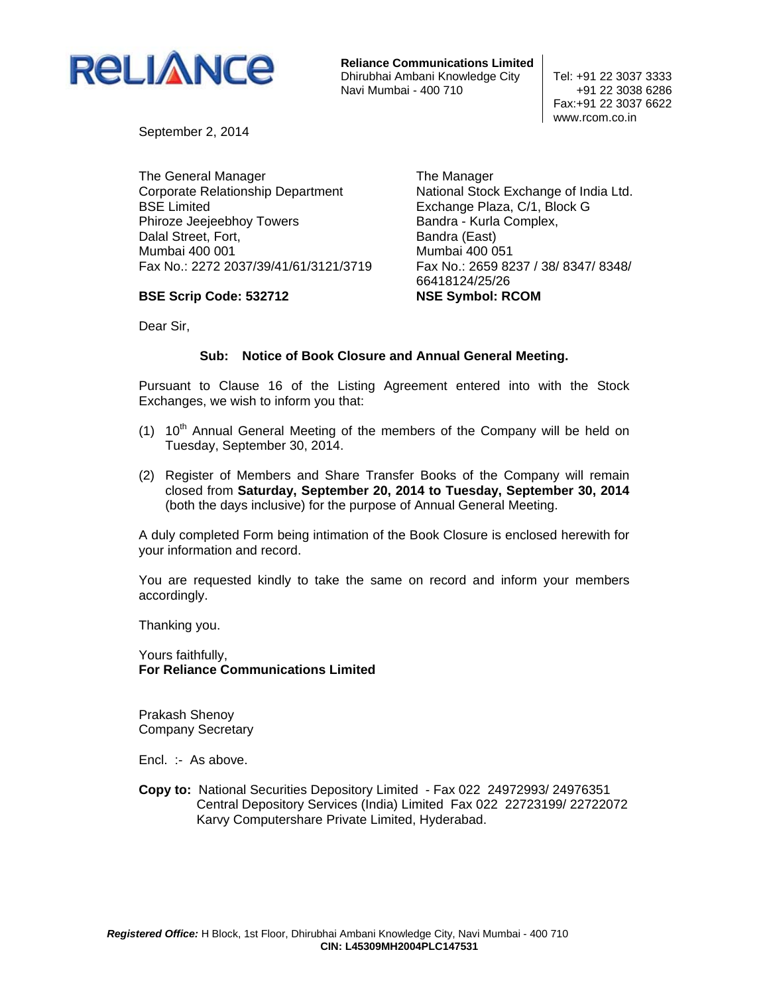

**Reliance Communications Limited** Dhirubhai Ambani Knowledge City | Tel: +91 22 3037 3333 Navi Mumbai - 400 710  $+91$  22 3038 6286

 Fax:+91 22 3037 6622 www.rcom.co.in

September 2, 2014

The General Manager Corporate Relationship Department BSE Limited Phiroze Jeejeebhoy Towers Dalal Street, Fort, Mumbai 400 001 Fax No.: 2272 2037/39/41/61/3121/3719

## **BSE Scrip Code: 532712**

The Manager National Stock Exchange of India Ltd. Exchange Plaza, C/1, Block G Bandra - Kurla Complex, Bandra (East) Mumbai 400 051 Fax No.: 2659 8237 / 38/ 8347/ 8348/ 66418124/25/26 **NSE Symbol: RCOM** 

Dear Sir,

## **Sub: Notice of Book Closure and Annual General Meeting.**

Pursuant to Clause 16 of the Listing Agreement entered into with the Stock Exchanges, we wish to inform you that:

- (1)  $10<sup>th</sup>$  Annual General Meeting of the members of the Company will be held on Tuesday, September 30, 2014.
- (2) Register of Members and Share Transfer Books of the Company will remain closed from **Saturday, September 20, 2014 to Tuesday, September 30, 2014** (both the days inclusive) for the purpose of Annual General Meeting.

A duly completed Form being intimation of the Book Closure is enclosed herewith for your information and record.

You are requested kindly to take the same on record and inform your members accordingly.

Thanking you.

Yours faithfully, **For Reliance Communications Limited** 

Prakash Shenoy Company Secretary

Encl. :- As above.

**Copy to:** National Securities Depository Limited - Fax 022 24972993/ 24976351 Central Depository Services (India) Limited Fax 022 22723199/ 22722072 Karvy Computershare Private Limited, Hyderabad.